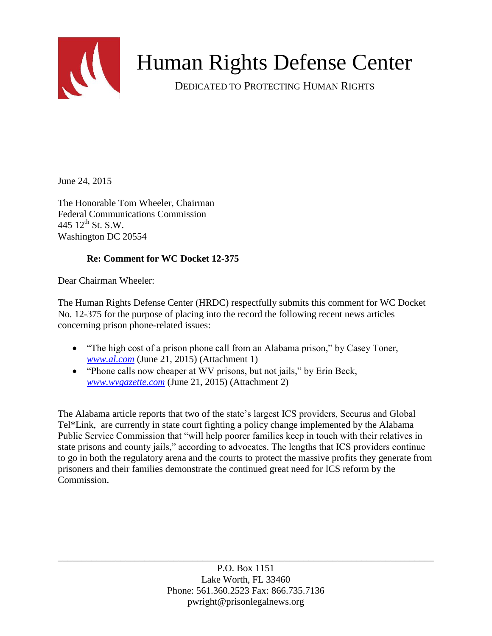

# Human Rights Defense Center

DEDICATED TO PROTECTING HUMAN RIGHTS

June 24, 2015

The Honorable Tom Wheeler, Chairman Federal Communications Commission 445  $12^{th}$  St. S.W. Washington DC 20554

### **Re: Comment for WC Docket 12-375**

Dear Chairman Wheeler:

The Human Rights Defense Center (HRDC) respectfully submits this comment for WC Docket No. 12-375 for the purpose of placing into the record the following recent news articles concerning prison phone-related issues:

- "The high cost of a prison phone call from an Alabama prison," by Casey Toner, *[www.al.com](http://www.al.com/)* (June 21, 2015) (Attachment 1)
- "Phone calls now cheaper at WV prisons, but not jails," by Erin Beck, *[www.wvgazette.com](http://www.wvgazette.com/)* (June 21, 2015) (Attachment 2)

The Alabama article reports that two of the state's largest ICS providers, Securus and Global Tel\*Link, are currently in state court fighting a policy change implemented by the Alabama Public Service Commission that "will help poorer families keep in touch with their relatives in state prisons and county jails," according to advocates. The lengths that ICS providers continue to go in both the regulatory arena and the courts to protect the massive profits they generate from prisoners and their families demonstrate the continued great need for ICS reform by the Commission.

> P.O. Box 1151 Lake Worth, FL 33460 Phone: 561.360.2523 Fax: 866.735.7136 pwright@prisonlegalnews.org

\_\_\_\_\_\_\_\_\_\_\_\_\_\_\_\_\_\_\_\_\_\_\_\_\_\_\_\_\_\_\_\_\_\_\_\_\_\_\_\_\_\_\_\_\_\_\_\_\_\_\_\_\_\_\_\_\_\_\_\_\_\_\_\_\_\_\_\_\_\_\_\_\_\_\_\_\_\_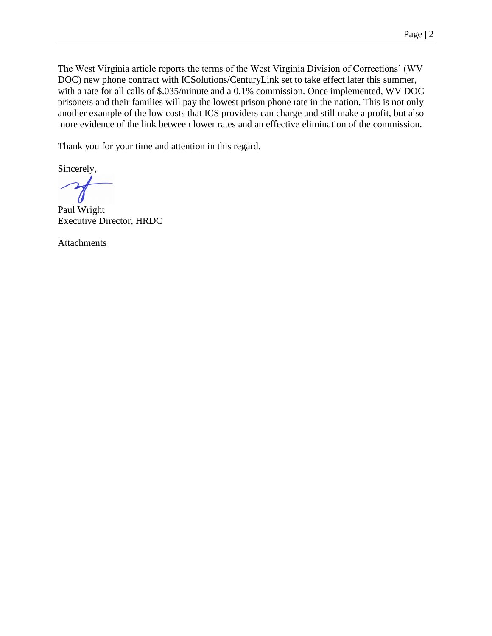The West Virginia article reports the terms of the West Virginia Division of Corrections' (WV DOC) new phone contract with ICSolutions/CenturyLink set to take effect later this summer, with a rate for all calls of \$.035/minute and a 0.1% commission. Once implemented, WV DOC prisoners and their families will pay the lowest prison phone rate in the nation. This is not only another example of the low costs that ICS providers can charge and still make a profit, but also more evidence of the link between lower rates and an effective elimination of the commission.

Thank you for your time and attention in this regard.

Sincerely,

Paul Wright Executive Director, HRDC

Attachments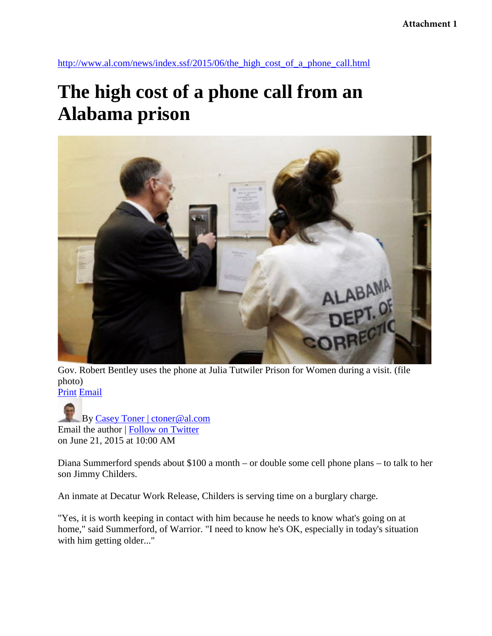#### **Attachment 1**

[http://www.al.com/news/index.ssf/2015/06/the\\_high\\_cost\\_of\\_a\\_phone\\_call.html](http://www.al.com/news/index.ssf/2015/06/the_high_cost_of_a_phone_call.html)

### **The high cost of a phone call from an Alabama prison**



Gov. Robert Bentley uses the phone at Julia Tutwiler Prison for Women during a visit. (file photo) [Print](http://blog.al.com/news_impact/print.html?entry=/2015/06/the_high_cost_of_a_phone_call.html) [Email](mailto:?subject=The%20high%20cost%20of%20a%20phone%20call%20from%20an%20Alabama%20prison&body=http%3A%2F%2Fwww.al.com%2Fnews%2Findex.ssf%2F2015%2F06%2Fthe_high_cost_of_a_phone_call.html%23incart_email) 

By [Casey Toner | ctoner@al.com](http://connect.al.com/user/ctoner/posts.html)  Email the author | [Follow on Twitter](https://twitter.com/ctoner)  on June 21, 2015 at 10:00 AM

Diana Summerford spends about \$100 a month – or double some cell phone plans – to talk to her son Jimmy Childers.

An inmate at Decatur Work Release, Childers is serving time on a burglary charge.

"Yes, it is worth keeping in contact with him because he needs to know what's going on at home," said Summerford, of Warrior. "I need to know he's OK, especially in today's situation with him getting older..."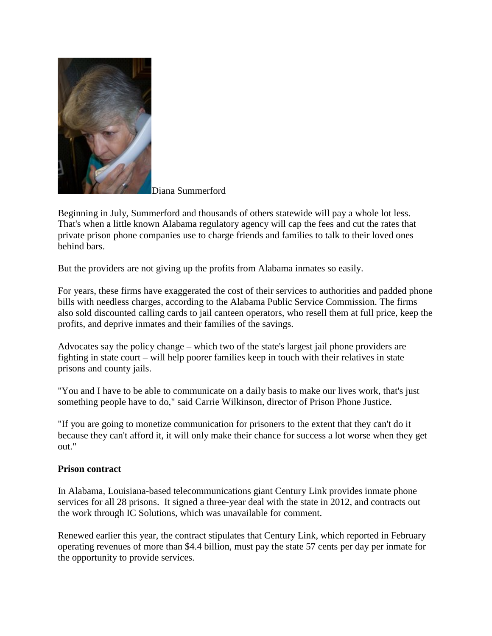

Diana Summerford

Beginning in July, Summerford and thousands of others statewide will pay a whole lot less. That's when a little known Alabama regulatory agency will cap the fees and cut the rates that private prison phone companies use to charge friends and families to talk to their loved ones behind bars.

But the providers are not giving up the profits from Alabama inmates so easily.

For years, these firms have exaggerated the cost of their services to authorities and padded phone bills with needless charges, according to the Alabama Public Service Commission. The firms also sold discounted calling cards to jail canteen operators, who resell them at full price, keep the profits, and deprive inmates and their families of the savings.

Advocates say the policy change – which two of the state's largest jail phone providers are fighting in state court – will help poorer families keep in touch with their relatives in state prisons and county jails.

"You and I have to be able to communicate on a daily basis to make our lives work, that's just something people have to do," said Carrie Wilkinson, director of Prison Phone Justice.

"If you are going to monetize communication for prisoners to the extent that they can't do it because they can't afford it, it will only make their chance for success a lot worse when they get out."

#### **Prison contract**

In Alabama, Louisiana-based telecommunications giant Century Link provides inmate phone services for all 28 prisons. It signed a three-year deal with the state in 2012, and contracts out the work through IC Solutions, which was unavailable for comment.

Renewed earlier this year, the contract stipulates that Century Link, which reported in February operating revenues of more than \$4.4 billion, must pay the state 57 cents per day per inmate for the opportunity to provide services.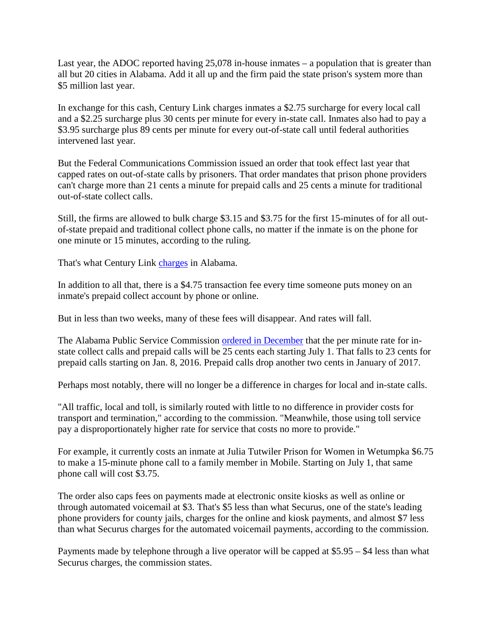Last year, the ADOC reported having  $25,078$  in-house inmates – a population that is greater than all but 20 cities in Alabama. Add it all up and the firm paid the state prison's system more than \$5 million last year.

In exchange for this cash, Century Link charges inmates a \$2.75 surcharge for every local call and a \$2.25 surcharge plus 30 cents per minute for every in-state call. Inmates also had to pay a \$3.95 surcharge plus 89 cents per minute for every out-of-state call until federal authorities intervened last year.

But the Federal Communications Commission issued an order that took effect last year that capped rates on out-of-state calls by prisoners. That order mandates that prison phone providers can't charge more than 21 cents a minute for prepaid calls and 25 cents a minute for traditional out-of-state collect calls.

Still, the firms are allowed to bulk charge \$3.15 and \$3.75 for the first 15-minutes of for all outof-state prepaid and traditional collect phone calls, no matter if the inmate is on the phone for one minute or 15 minutes, according to the ruling.

That's what Century Link [charges](http://www.centurylink.com/corrections/adoc/rates.html) in Alabama.

In addition to all that, there is a \$4.75 transaction fee every time someone puts money on an inmate's prepaid collect account by phone or online.

But in less than two weeks, many of these fees will disappear. And rates will fall.

The Alabama Public Service Commission [ordered in December](http://www.psc.state.al.us/Telecom/Engineering/documents/Dec%202014%20Order%2015957%20updated%20thru%206-12-2015.pdf) that the per minute rate for instate collect calls and prepaid calls will be 25 cents each starting July 1. That falls to 23 cents for prepaid calls starting on Jan. 8, 2016. Prepaid calls drop another two cents in January of 2017.

Perhaps most notably, there will no longer be a difference in charges for local and in-state calls.

"All traffic, local and toll, is similarly routed with little to no difference in provider costs for transport and termination," according to the commission. "Meanwhile, those using toll service pay a disproportionately higher rate for service that costs no more to provide."

For example, it currently costs an inmate at Julia Tutwiler Prison for Women in Wetumpka \$6.75 to make a 15-minute phone call to a family member in Mobile. Starting on July 1, that same phone call will cost \$3.75.

The order also caps fees on payments made at electronic onsite kiosks as well as online or through automated voicemail at \$3. That's \$5 less than what Securus, one of the state's leading phone providers for county jails, charges for the online and kiosk payments, and almost \$7 less than what Securus charges for the automated voicemail payments, according to the commission.

Payments made by telephone through a live operator will be capped at \$5.95 – \$4 less than what Securus charges, the commission states.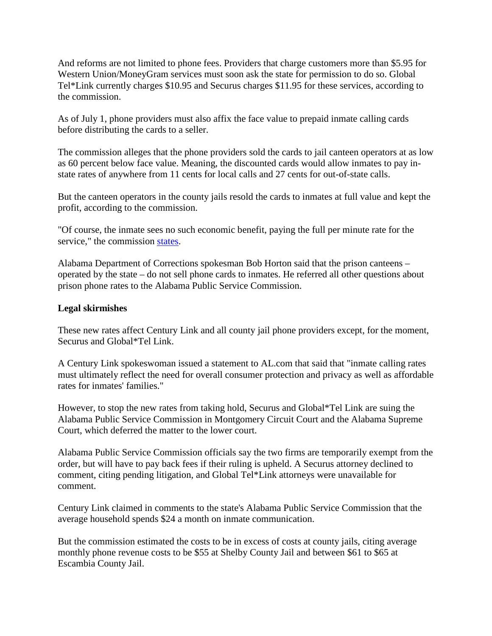And reforms are not limited to phone fees. Providers that charge customers more than \$5.95 for Western Union/MoneyGram services must soon ask the state for permission to do so. Global Tel\*Link currently charges \$10.95 and Securus charges \$11.95 for these services, according to the commission.

As of July 1, phone providers must also affix the face value to prepaid inmate calling cards before distributing the cards to a seller.

The commission alleges that the phone providers sold the cards to jail canteen operators at as low as 60 percent below face value. Meaning, the discounted cards would allow inmates to pay instate rates of anywhere from 11 cents for local calls and 27 cents for out-of-state calls.

But the canteen operators in the county jails resold the cards to inmates at full value and kept the profit, according to the commission.

"Of course, the inmate sees no such economic benefit, paying the full per minute rate for the service," the commission [states.](http://www.psc.state.al.us/Telecom/Engineering/documents/July_7_2014_ICS_Order_TOC.pdf)

Alabama Department of Corrections spokesman Bob Horton said that the prison canteens – operated by the state – do not sell phone cards to inmates. He referred all other questions about prison phone rates to the Alabama Public Service Commission.

### **Legal skirmishes**

These new rates affect Century Link and all county jail phone providers except, for the moment, Securus and Global\*Tel Link.

A Century Link spokeswoman issued a statement to AL.com that said that "inmate calling rates must ultimately reflect the need for overall consumer protection and privacy as well as affordable rates for inmates' families."

However, to stop the new rates from taking hold, Securus and Global\*Tel Link are suing the Alabama Public Service Commission in Montgomery Circuit Court and the Alabama Supreme Court, which deferred the matter to the lower court.

Alabama Public Service Commission officials say the two firms are temporarily exempt from the order, but will have to pay back fees if their ruling is upheld. A Securus attorney declined to comment, citing pending litigation, and Global Tel\*Link attorneys were unavailable for comment.

Century Link claimed in comments to the state's Alabama Public Service Commission that the average household spends \$24 a month on inmate communication.

But the commission estimated the costs to be in excess of costs at county jails, citing average monthly phone revenue costs to be \$55 at Shelby County Jail and between \$61 to \$65 at Escambia County Jail.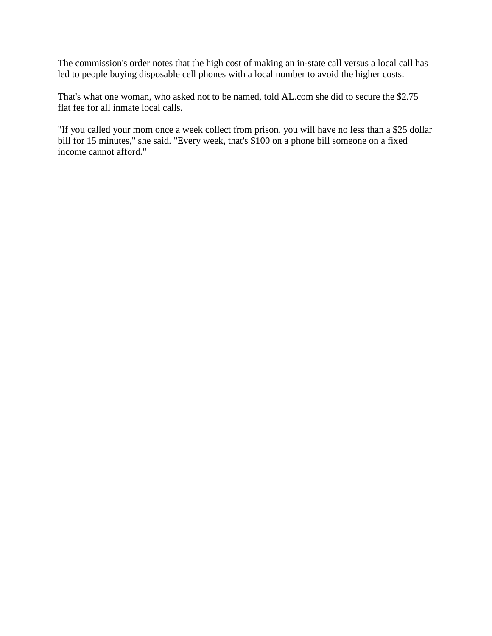The commission's order notes that the high cost of making an in-state call versus a local call has led to people buying disposable cell phones with a local number to avoid the higher costs.

That's what one woman, who asked not to be named, told AL.com she did to secure the \$2.75 flat fee for all inmate local calls.

"If you called your mom once a week collect from prison, you will have no less than a \$25 dollar bill for 15 minutes," she said. "Every week, that's \$100 on a phone bill someone on a fixed income cannot afford."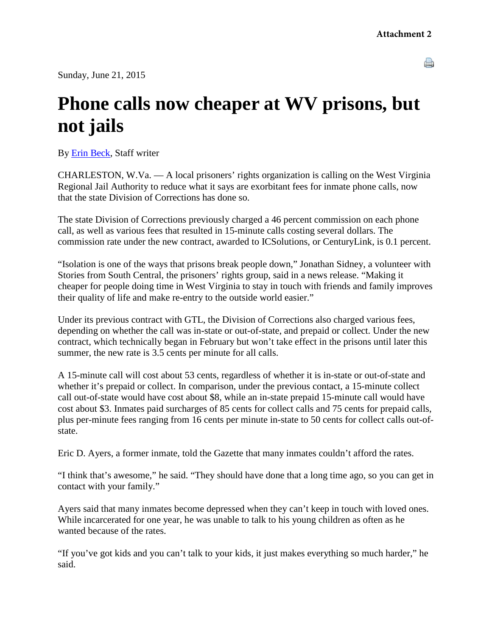Sunday, June 21, 2015

A

## **Phone calls now cheaper at WV prisons, but not jails**

By [Erin Beck,](http://www.wvgazette.com/apps/pbcs.dll/section?category=staff&template=staffProfilePages&staffID=g063) Staff writer

CHARLESTON, W.Va. — A local prisoners' rights organization is calling on the West Virginia Regional Jail Authority to reduce what it says are exorbitant fees for inmate phone calls, now that the state Division of Corrections has done so.

The state Division of Corrections previously charged a 46 percent commission on each phone call, as well as various fees that resulted in 15-minute calls costing several dollars. The commission rate under the new contract, awarded to ICSolutions, or CenturyLink, is 0.1 percent.

"Isolation is one of the ways that prisons break people down," Jonathan Sidney, a volunteer with Stories from South Central, the prisoners' rights group, said in a news release. "Making it cheaper for people doing time in West Virginia to stay in touch with friends and family improves their quality of life and make re-entry to the outside world easier."

Under its previous contract with GTL, the Division of Corrections also charged various fees, depending on whether the call was in-state or out-of-state, and prepaid or collect. Under the new contract, which technically began in February but won't take effect in the prisons until later this summer, the new rate is 3.5 cents per minute for all calls.

A 15-minute call will cost about 53 cents, regardless of whether it is in-state or out-of-state and whether it's prepaid or collect. In comparison, under the previous contact, a 15-minute collect call out-of-state would have cost about \$8, while an in-state prepaid 15-minute call would have cost about \$3. Inmates paid surcharges of 85 cents for collect calls and 75 cents for prepaid calls, plus per-minute fees ranging from 16 cents per minute in-state to 50 cents for collect calls out-ofstate.

Eric D. Ayers, a former inmate, told the Gazette that many inmates couldn't afford the rates.

"I think that's awesome," he said. "They should have done that a long time ago, so you can get in contact with your family."

Ayers said that many inmates become depressed when they can't keep in touch with loved ones. While incarcerated for one year, he was unable to talk to his young children as often as he wanted because of the rates.

"If you've got kids and you can't talk to your kids, it just makes everything so much harder," he said.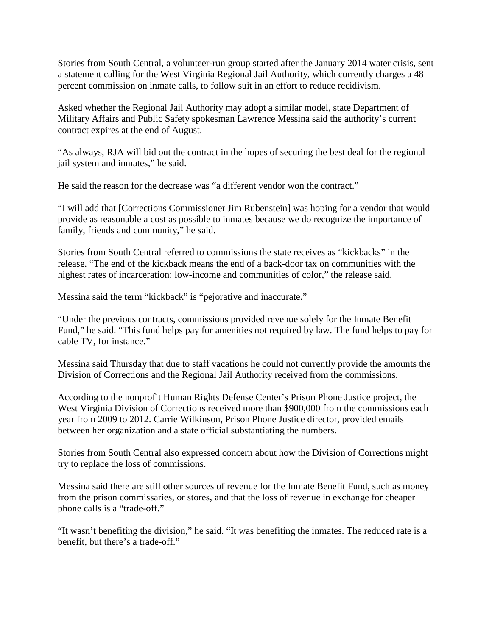Stories from South Central, a volunteer-run group started after the January 2014 water crisis, sent a statement calling for the West Virginia Regional Jail Authority, which currently charges a 48 percent commission on inmate calls, to follow suit in an effort to reduce recidivism.

Asked whether the Regional Jail Authority may adopt a similar model, state Department of Military Affairs and Public Safety spokesman Lawrence Messina said the authority's current contract expires at the end of August.

"As always, RJA will bid out the contract in the hopes of securing the best deal for the regional jail system and inmates," he said.

He said the reason for the decrease was "a different vendor won the contract."

"I will add that [Corrections Commissioner Jim Rubenstein] was hoping for a vendor that would provide as reasonable a cost as possible to inmates because we do recognize the importance of family, friends and community," he said.

Stories from South Central referred to commissions the state receives as "kickbacks" in the release. "The end of the kickback means the end of a back-door tax on communities with the highest rates of incarceration: low-income and communities of color," the release said.

Messina said the term "kickback" is "pejorative and inaccurate."

"Under the previous contracts, commissions provided revenue solely for the Inmate Benefit Fund," he said. "This fund helps pay for amenities not required by law. The fund helps to pay for cable TV, for instance."

Messina said Thursday that due to staff vacations he could not currently provide the amounts the Division of Corrections and the Regional Jail Authority received from the commissions.

According to the nonprofit Human Rights Defense Center's Prison Phone Justice project, the West Virginia Division of Corrections received more than \$900,000 from the commissions each year from 2009 to 2012. Carrie Wilkinson, Prison Phone Justice director, provided emails between her organization and a state official substantiating the numbers.

Stories from South Central also expressed concern about how the Division of Corrections might try to replace the loss of commissions.

Messina said there are still other sources of revenue for the Inmate Benefit Fund, such as money from the prison commissaries, or stores, and that the loss of revenue in exchange for cheaper phone calls is a "trade-off."

"It wasn't benefiting the division," he said. "It was benefiting the inmates. The reduced rate is a benefit, but there's a trade-off."